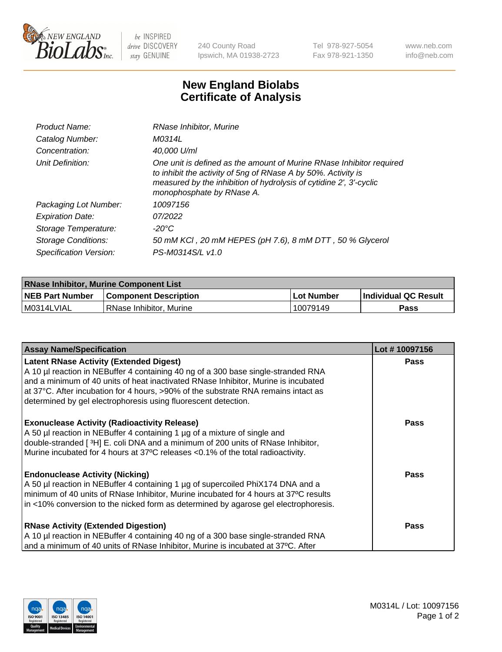

 $be$  INSPIRED drive DISCOVERY stay GENUINE

240 County Road Ipswich, MA 01938-2723 Tel 978-927-5054 Fax 978-921-1350 www.neb.com info@neb.com

## **New England Biolabs Certificate of Analysis**

| Product Name:           | RNase Inhibitor, Murine                                                                                                                                                                                                                  |
|-------------------------|------------------------------------------------------------------------------------------------------------------------------------------------------------------------------------------------------------------------------------------|
| Catalog Number:         | M0314L                                                                                                                                                                                                                                   |
| Concentration:          | 40,000 U/ml                                                                                                                                                                                                                              |
| Unit Definition:        | One unit is defined as the amount of Murine RNase Inhibitor required<br>to inhibit the activity of 5ng of RNase A by 50%. Activity is<br>measured by the inhibition of hydrolysis of cytidine 2', 3'-cyclic<br>monophosphate by RNase A. |
| Packaging Lot Number:   | 10097156                                                                                                                                                                                                                                 |
| <b>Expiration Date:</b> | 07/2022                                                                                                                                                                                                                                  |
| Storage Temperature:    | -20°C                                                                                                                                                                                                                                    |
| Storage Conditions:     | 50 mM KCI, 20 mM HEPES (pH 7.6), 8 mM DTT, 50 % Glycerol                                                                                                                                                                                 |
| Specification Version:  | PS-M0314S/L v1.0                                                                                                                                                                                                                         |

| <b>RNase Inhibitor, Murine Component List</b> |                              |              |                             |  |
|-----------------------------------------------|------------------------------|--------------|-----------------------------|--|
| <b>NEB Part Number</b>                        | <b>Component Description</b> | l Lot Number | <b>Individual QC Result</b> |  |
| M0314LVIAL                                    | l RNase Inhibitor. Murine    | 10079149     | Pass                        |  |

| <b>Assay Name/Specification</b>                                                                                                                                                                                                                                                                          | Lot #10097156 |
|----------------------------------------------------------------------------------------------------------------------------------------------------------------------------------------------------------------------------------------------------------------------------------------------------------|---------------|
| <b>Latent RNase Activity (Extended Digest)</b><br>A 10 µl reaction in NEBuffer 4 containing 40 ng of a 300 base single-stranded RNA<br>and a minimum of 40 units of heat inactivated RNase Inhibitor, Murine is incubated                                                                                | <b>Pass</b>   |
| at 37°C. After incubation for 4 hours, >90% of the substrate RNA remains intact as<br>determined by gel electrophoresis using fluorescent detection.                                                                                                                                                     |               |
| <b>Exonuclease Activity (Radioactivity Release)</b><br>A 50 µl reaction in NEBuffer 4 containing 1 µg of a mixture of single and<br>double-stranded [3H] E. coli DNA and a minimum of 200 units of RNase Inhibitor,<br>Murine incubated for 4 hours at 37°C releases <0.1% of the total radioactivity.   | <b>Pass</b>   |
| <b>Endonuclease Activity (Nicking)</b><br>A 50 µl reaction in NEBuffer 4 containing 1 µg of supercoiled PhiX174 DNA and a<br>minimum of 40 units of RNase Inhibitor, Murine incubated for 4 hours at 37°C results<br>in <10% conversion to the nicked form as determined by agarose gel electrophoresis. | <b>Pass</b>   |
| <b>RNase Activity (Extended Digestion)</b><br>A 10 µl reaction in NEBuffer 4 containing 40 ng of a 300 base single-stranded RNA<br>and a minimum of 40 units of RNase Inhibitor, Murine is incubated at 37°C. After                                                                                      | <b>Pass</b>   |